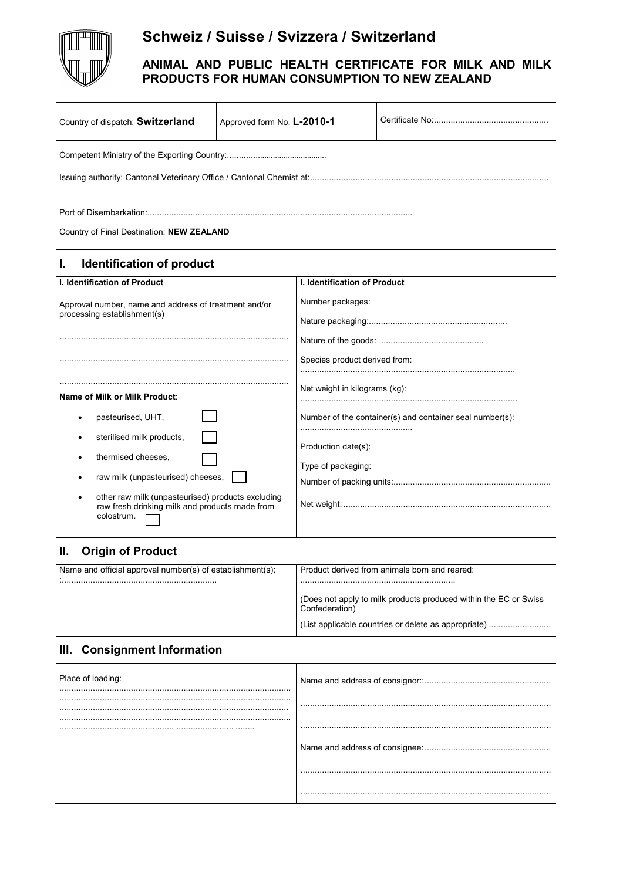

# **Schweiz / Suisse / Svizzera / Switzerland**

## **ANIMAL AND PUBLIC HEALTH CERTIFICATE FOR MILK AND MILK PRODUCTS FOR HUMAN CONSUMPTION TO NEW ZEALAND**

| Country of dispatch: Switzerland                                                                                  | Approved form No. L-2010-1 |                               |                                                          |  |
|-------------------------------------------------------------------------------------------------------------------|----------------------------|-------------------------------|----------------------------------------------------------|--|
|                                                                                                                   |                            |                               |                                                          |  |
| Country of Final Destination: NEW ZEALAND                                                                         |                            |                               |                                                          |  |
| <b>Identification of product</b><br>ı.                                                                            |                            |                               |                                                          |  |
| <b>I. Identification of Product</b>                                                                               |                            | I. Identification of Product  |                                                          |  |
| Approval number, name and address of treatment and/or<br>processing establishment(s)                              |                            | Number packages:              |                                                          |  |
|                                                                                                                   |                            | Species product derived from: |                                                          |  |
| Name of Milk or Milk Product:                                                                                     |                            | Net weight in kilograms (kg): |                                                          |  |
| pasteurised, UHT,                                                                                                 |                            |                               | Number of the container(s) and container seal number(s): |  |
| sterilised milk products,                                                                                         |                            | Production date(s):           |                                                          |  |
| thermised cheeses.<br>٠<br>raw milk (unpasteurised) cheeses,                                                      | Type of packaging:         |                               |                                                          |  |
| other raw milk (unpasteurised) products excluding<br>raw fresh drinking milk and products made from<br>colostrum. |                            |                               |                                                          |  |

## **II. Origin of Product**

| Name and official approval number(s) of establishment(s): | Product derived from animals born and reared:                                      |
|-----------------------------------------------------------|------------------------------------------------------------------------------------|
|                                                           |                                                                                    |
|                                                           | (Does not apply to milk products produced within the EC or Swiss<br>Confederation) |
|                                                           | (List applicable countries or delete as appropriate)                               |

### **III. Consignment Information**

| Place of loading: |  |
|-------------------|--|
|                   |  |
|                   |  |
|                   |  |
|                   |  |
|                   |  |